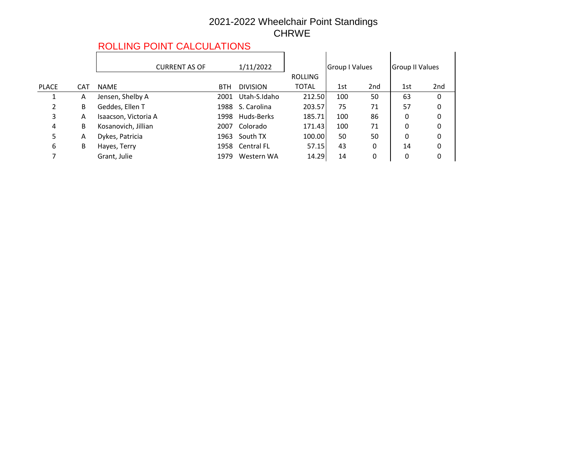#### 2021-2022 Wheelchair Point Standings CHRWE

## ROLLING POINT CALCULATIONS

|              |            | <u>UHITU UNUU UMITU ITU ITU U</u> |      |                  |                |                |     |                        |                 |
|--------------|------------|-----------------------------------|------|------------------|----------------|----------------|-----|------------------------|-----------------|
|              |            | <b>CURRENT AS OF</b>              |      | 1/11/2022        | <b>ROLLING</b> | Group I Values |     | <b>Group II Values</b> |                 |
| <b>PLACE</b> | <b>CAT</b> | <b>NAME</b>                       | BTH  | <b>DIVISION</b>  | <b>TOTAL</b>   | 1st            | 2nd | 1st                    | 2 <sub>nd</sub> |
|              | A          | Jensen, Shelby A                  | 2001 | Utah-S.Idaho     | 212.50         | 100            | 50  | 63                     | 0               |
| 2            | B          | Geddes, Ellen T                   |      | 1988 S. Carolina | 203.57         | 75             | 71  | 57                     | 0               |
| 3            | A          | Isaacson, Victoria A              | 1998 | Huds-Berks       | 185.71         | 100            | 86  | 0                      | 0               |
| 4            | B          | Kosanovich, Jillian               | 2007 | Colorado         | 171.43         | 100            | 71  | 0                      | 0               |
| 5            | A          | Dykes, Patricia                   | 1963 | South TX         | 100.00         | 50             | 50  | 0                      | 0               |
| 6            | В          | Hayes, Terry                      |      | 1958 Central FL  | 57.15          | 43             | 0   | 14                     | 0               |
|              |            | Grant, Julie                      | 1979 | Western WA       | 14.29          | 14             | 0   | 0                      | 0               |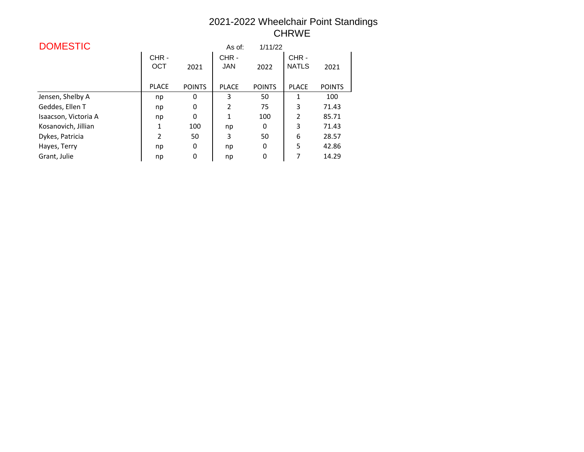### 2021-2022 Wheelchair Point Standings CHRWE

| <b>DOMESTIC</b>      |                |               | As of:             | 1/11/22       |                      |               |
|----------------------|----------------|---------------|--------------------|---------------|----------------------|---------------|
|                      | CHR-<br>OCT    | 2021          | CHR-<br><b>JAN</b> | 2022          | CHR-<br><b>NATLS</b> | 2021          |
|                      | <b>PLACE</b>   | <b>POINTS</b> | <b>PLACE</b>       | <b>POINTS</b> | <b>PLACE</b>         | <b>POINTS</b> |
| Jensen, Shelby A     | np             | 0             | 3                  | 50            | 1                    | 100           |
| Geddes, Ellen T      | np             | 0             | $\overline{2}$     | 75            | 3                    | 71.43         |
| Isaacson, Victoria A | np             | 0             | 1                  | 100           | $\overline{2}$       | 85.71         |
| Kosanovich, Jillian  | 1              | 100           | np                 | 0             | 3                    | 71.43         |
| Dykes, Patricia      | $\mathfrak{p}$ | 50            | 3                  | 50            | 6                    | 28.57         |
| Hayes, Terry         | np             | 0             | np                 | 0             | 5                    | 42.86         |
| Grant, Julie         | np             | 0             | np                 | 0             | 7                    | 14.29         |